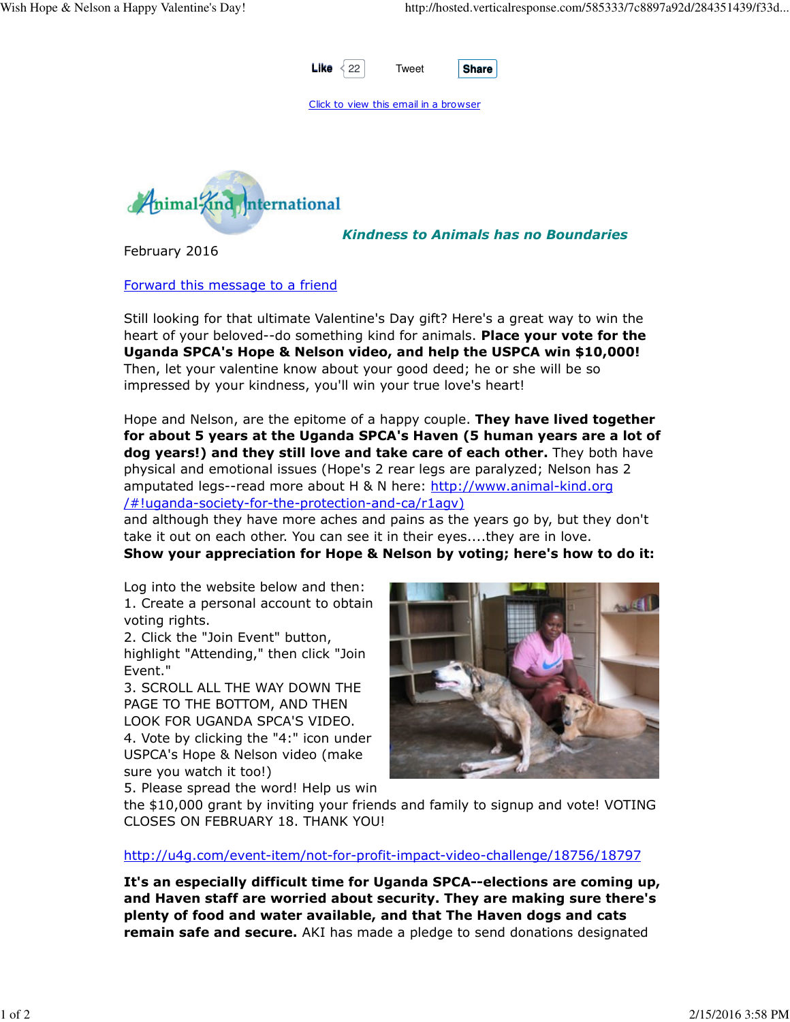

Click to view this email in a browser



Kindness to Animals has no Boundaries

February 2016

Forward this message to a friend

Still looking for that ultimate Valentine's Day gift? Here's a great way to win the heart of your beloved--do something kind for animals. Place your vote for the Uganda SPCA's Hope & Nelson video, and help the USPCA win \$10,000! Then, let your valentine know about your good deed; he or she will be so impressed by your kindness, you'll win your true love's heart!

Hope and Nelson, are the epitome of a happy couple. They have lived together for about 5 years at the Uganda SPCA's Haven (5 human years are a lot of dog years!) and they still love and take care of each other. They both have physical and emotional issues (Hope's 2 rear legs are paralyzed; Nelson has 2 amputated legs--read more about H & N here: http://www.animal-kind.org /#!uganda-society-for-the-protection-and-ca/r1agv)

and although they have more aches and pains as the years go by, but they don't take it out on each other. You can see it in their eyes....they are in love.

Show your appreciation for Hope & Nelson by voting; here's how to do it:

Log into the website below and then: 1. Create a personal account to obtain voting rights.

2. Click the "Join Event" button, highlight "Attending," then click "Join Event."

3. SCROLL ALL THE WAY DOWN THE PAGE TO THE BOTTOM, AND THEN LOOK FOR UGANDA SPCA'S VIDEO. 4. Vote by clicking the "4:" icon under USPCA's Hope & Nelson video (make sure you watch it too!)



5. Please spread the word! Help us win

the \$10,000 grant by inviting your friends and family to signup and vote! VOTING CLOSES ON FEBRUARY 18. THANK YOU!

http://u4g.com/event-item/not-for-profit-impact-video-challenge/18756/18797

It's an especially difficult time for Uganda SPCA--elections are coming up, and Haven staff are worried about security. They are making sure there's plenty of food and water available, and that The Haven dogs and cats remain safe and secure. AKI has made a pledge to send donations designated